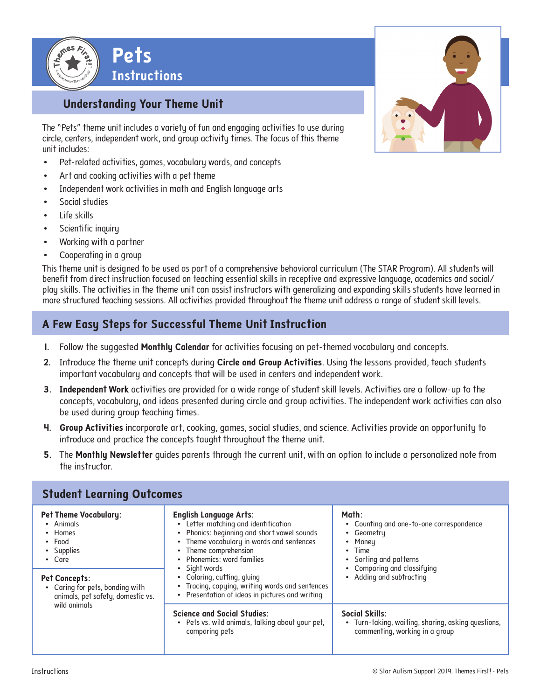

# **Understanding Your Theme Unit**

The "Pets" theme unit includes a variety of fun and engaging activities to use during circle, centers, independent work, and group activity times. The focus of this theme unit includes:

- Pet-related activities, games, vocabulary words, and concepts
- Art and cooking activities with a pet theme
- Independent work activities in math and English language arts
- Social studies
- Life skills
- Scientific inquiry
- Working with a partner
- Cooperating in a group

This theme unit is designed to be used as part of a comprehensive behavioral curriculum (The STAR Program). All students will benefit from direct instruction focused on teaching essential skills in receptive and expressive language, academics and social/ play skills. The activities in the theme unit can assist instructors with generalizing and expanding skills students have learned in more structured teaching sessions. All activities provided throughout the theme unit address a range of student skill levels.

# **A Few Easy Steps for Successful Theme Unit Instruction**

- **1.** Follow the suggested **Monthly Calendar** for activities focusing on pet-themed vocabulary and concepts.
- **2.** Introduce the theme unit concepts during **Circle and Group Activities**. Using the lessons provided, teach students important vocabulary and concepts that will be used in centers and independent work.
- **3. Independent Work** activities are provided for a wide range of student skill levels. Activities are a follow-up to the concepts, vocabulary, and ideas presented during circle and group activities. The independent work activities can also be used during group teaching times.
- **4. Group Activities** incorporate art, cooking, games, social studies, and science. Activities provide an opportunity to introduce and practice the concepts taught throughout the theme unit.
- **5.** The **Monthly Newsletter** guides parents through the current unit, with an option to include a personalized note from the instructor.

| <b>Pet Theme Vocabulary:</b><br>• Animals<br>• Homes<br>$\bullet$ Food<br>• Supplies<br>• Care<br><b>Pet Concepts:</b><br>• Caring for pets, bonding with<br>animals, pet safety, domestic vs.<br>wild animals | <b>English Language Arts:</b><br>Letter matching and identification<br>Phonics: beginning and short vowel sounds<br>٠<br>• Theme vocabulary in words and sentences<br>Theme comprehension<br>$\bullet$<br>Phonemics: word families<br>• Sight words<br>• Coloring, cutting, gluing<br>• Tracing, copying, writing words and sentences<br>Presentation of ideas in pictures and writing<br>٠ | Math:<br>• Counting and one-to-one correspondence<br>Geometry<br>$\bullet$<br>Money<br>$\bullet$ Time<br>Sorting and patterns<br>$\bullet$<br>• Comparing and classifying<br>Adding and subtracting |  |
|----------------------------------------------------------------------------------------------------------------------------------------------------------------------------------------------------------------|---------------------------------------------------------------------------------------------------------------------------------------------------------------------------------------------------------------------------------------------------------------------------------------------------------------------------------------------------------------------------------------------|-----------------------------------------------------------------------------------------------------------------------------------------------------------------------------------------------------|--|
|                                                                                                                                                                                                                |                                                                                                                                                                                                                                                                                                                                                                                             |                                                                                                                                                                                                     |  |

### **Student Learning Outcomes**

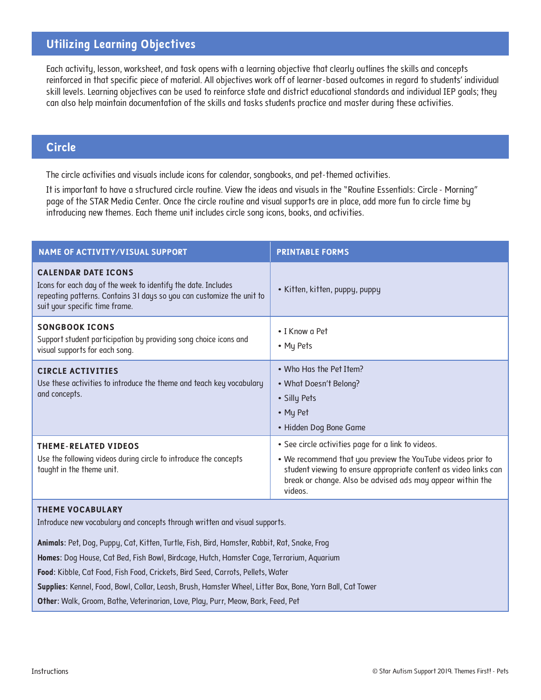# **Utilizing Learning Objectives**

Each activity, lesson, worksheet, and task opens with a learning objective that clearly outlines the skills and concepts reinforced in that specific piece of material. All objectives work off of learner-based outcomes in regard to students' individual skill levels. Learning objectives can be used to reinforce state and district educational standards and individual IEP goals; they can also help maintain documentation of the skills and tasks students practice and master during these activities.

#### **Circle**

The circle activities and visuals include icons for calendar, songbooks, and pet-themed activities.

It is important to have a structured circle routine. View the ideas and visuals in the "Routine Essentials: Circle - Morning" page of the STAR Media Center. Once the circle routine and visual supports are in place, add more fun to circle time by introducing new themes. Each theme unit includes circle song icons, books, and activities.

| <b>NAME OF ACTIVITY/VISUAL SUPPORT</b>                                                                                                                                                                 | <b>PRINTABLE FORMS</b>                                                                                                                                                                                                                                         |  |  |
|--------------------------------------------------------------------------------------------------------------------------------------------------------------------------------------------------------|----------------------------------------------------------------------------------------------------------------------------------------------------------------------------------------------------------------------------------------------------------------|--|--|
| <b>CALENDAR DATE ICONS</b><br>Icons for each day of the week to identify the date. Includes<br>repeating patterns. Contains 31 days so you can customize the unit to<br>suit your specific time frame. | • Kitten, kitten, puppy, puppy                                                                                                                                                                                                                                 |  |  |
| <b>SONGBOOK ICONS</b><br>Support student participation by providing song choice icons and<br>visual supports for each song.                                                                            | • I Know a Pet<br>• My Pets                                                                                                                                                                                                                                    |  |  |
| <b>CIRCLE ACTIVITIES</b><br>Use these activities to introduce the theme and teach key vocabulary<br>and concepts.                                                                                      | • Who Has the Pet Item?<br>• What Doesn't Belong?<br>• Silly Pets<br>• My Pet<br>• Hidden Dog Bone Game                                                                                                                                                        |  |  |
| <b>THEME-RELATED VIDEOS</b><br>Use the following videos during circle to introduce the concepts<br>taught in the theme unit.                                                                           | . See circle activities page for a link to videos.<br>. We recommend that you preview the YouTube videos prior to<br>student viewing to ensure appropriate content as video links can<br>break or change. Also be advised ads may appear within the<br>videos. |  |  |

#### **THEME VOCABULARY**

Introduce new vocabulary and concepts through written and visual supports.

**Animals:** Pet, Dog, Puppy, Cat, Kitten, Turtle, Fish, Bird, Hamster, Rabbit, Rat, Snake, Frog

**Homes:** Dog House, Cat Bed, Fish Bowl, Birdcage, Hutch, Hamster Cage, Terrarium, Aquarium

**Food:** Kibble, Cat Food, Fish Food, Crickets, Bird Seed, Carrots, Pellets, Water

**Supplies:** Kennel, Food, Bowl, Collar, Leash, Brush, Hamster Wheel, Litter Box, Bone, Yarn Ball, Cat Tower

**Other:** Walk, Groom, Bathe, Veterinarian, Love, Play, Purr, Meow, Bark, Feed, Pet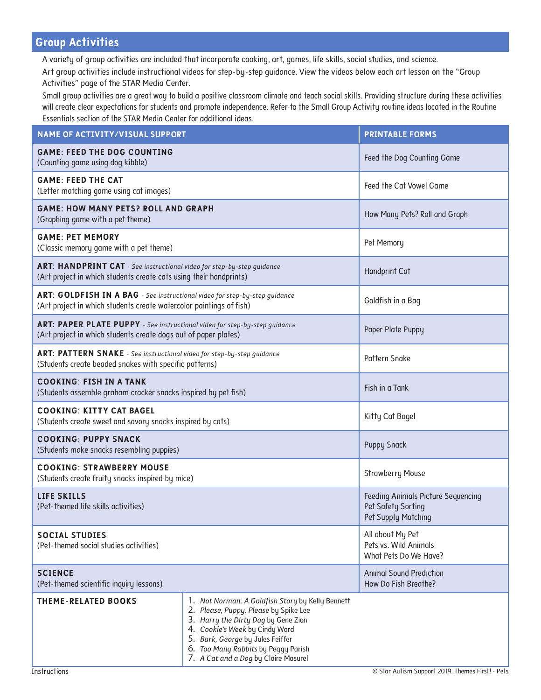# **Group Activities**

A variety of group activities are included that incorporate cooking, art, games, life skills, social studies, and science.

Art group activities include instructional videos for step-by-step guidance. View the videos below each art lesson on the "Group Activities" page of the STAR Media Center.

Small group activities are a great way to build a positive classroom climate and teach social skills. Providing structure during these activities will create clear expectations for students and promote independence. Refer to the Small Group Activity routine ideas located in the Routine Essentials section of the STAR Media Center for additional ideas.

| <b>NAME OF ACTIVITY/VISUAL SUPPORT</b>                                                                                                            |                                                                                                                                                                                                                                                                                       | <b>PRINTABLE FORMS</b>                                                                        |  |
|---------------------------------------------------------------------------------------------------------------------------------------------------|---------------------------------------------------------------------------------------------------------------------------------------------------------------------------------------------------------------------------------------------------------------------------------------|-----------------------------------------------------------------------------------------------|--|
| <b>GAME: FEED THE DOG COUNTING</b><br>(Counting game using dog kibble)                                                                            |                                                                                                                                                                                                                                                                                       | Feed the Dog Counting Game                                                                    |  |
| <b>GAME: FEED THE CAT</b><br>(Letter matching game using cat images)                                                                              | Feed the Cat Vowel Game                                                                                                                                                                                                                                                               |                                                                                               |  |
| <b>GAME: HOW MANY PETS? ROLL AND GRAPH</b><br>(Graphing game with a pet theme)                                                                    |                                                                                                                                                                                                                                                                                       | How Many Pets? Roll and Graph                                                                 |  |
| <b>GAME: PET MEMORY</b><br>(Classic memory game with a pet theme)                                                                                 | Pet Memory                                                                                                                                                                                                                                                                            |                                                                                               |  |
| ART: HANDPRINT CAT - See instructional video for step-by-step guidance<br>(Art project in which students create cats using their handprints)      | <b>Handprint Cat</b>                                                                                                                                                                                                                                                                  |                                                                                               |  |
| ART: GOLDFISH IN A BAG - See instructional video for step-by-step guidance<br>(Art project in which students create watercolor paintings of fish) | Goldfish in a Bag                                                                                                                                                                                                                                                                     |                                                                                               |  |
| ART: PAPER PLATE PUPPY - See instructional video for step-by-step guidance<br>(Art project in which students create dogs out of paper plates)     |                                                                                                                                                                                                                                                                                       | Paper Plate Puppy                                                                             |  |
| ART: PATTERN SNAKE - See instructional video for step-by-step guidance<br>(Students create beaded snakes with specific patterns)                  |                                                                                                                                                                                                                                                                                       | Pattern Snake                                                                                 |  |
| <b>COOKING: FISH IN A TANK</b><br>(Students assemble graham cracker snacks inspired by pet fish)                                                  |                                                                                                                                                                                                                                                                                       | Fish in a Tank                                                                                |  |
| <b>COOKING: KITTY CAT BAGEL</b><br>(Students create sweet and savory snacks inspired by cats)                                                     |                                                                                                                                                                                                                                                                                       | Kitty Cat Bagel                                                                               |  |
| <b>COOKING: PUPPY SNACK</b><br>(Students make snacks resembling puppies)                                                                          |                                                                                                                                                                                                                                                                                       | <b>Puppy Snack</b>                                                                            |  |
| <b>COOKING: STRAWBERRY MOUSE</b><br>(Students create fruity snacks inspired by mice)                                                              |                                                                                                                                                                                                                                                                                       | <b>Strawberry Mouse</b>                                                                       |  |
| <b>LIFE SKILLS</b><br>(Pet-themed life skills activities)                                                                                         |                                                                                                                                                                                                                                                                                       | <b>Feeding Animals Picture Sequencing</b><br>Pet Safety Sorting<br><b>Pet Supply Matching</b> |  |
| <b>SOCIAL STUDIES</b><br>(Pet-themed social studies activities)                                                                                   |                                                                                                                                                                                                                                                                                       | All about My Pet<br>Pets vs. Wild Animals<br>What Pets Do We Have?                            |  |
| <b>SCIENCE</b><br>(Pet-themed scientific inquiry lessons)                                                                                         |                                                                                                                                                                                                                                                                                       | <b>Animal Sound Prediction</b><br>How Do Fish Breathe?                                        |  |
| <b>THEME-RELATED BOOKS</b>                                                                                                                        | 1. Not Norman: A Goldfish Story by Kelly Bennett<br>2. Please, Puppy, Please by Spike Lee<br>3. Harry the Dirty Dog by Gene Zion<br>4. Cookie's Week by Cindy Ward<br>5. Bark, George by Jules Feiffer<br>6. Too Many Rabbits by Peggy Parish<br>7. A Cat and a Dog by Claire Masurel |                                                                                               |  |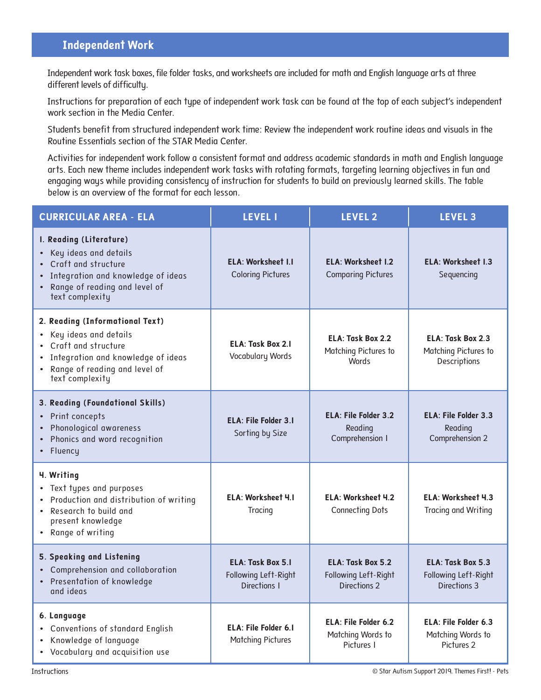# **Independent Work**

Independent work task boxes, file folder tasks, and worksheets are included for math and English language arts at three different levels of difficulty.

Instructions for preparation of each type of independent work task can be found at the top of each subject's independent work section in the Media Center.

Students benefit from structured independent work time: Review the independent work routine ideas and visuals in the Routine Essentials section of the STAR Media Center.

Activities for independent work follow a consistent format and address academic standards in math and English language arts. Each new theme includes independent work tasks with rotating formats, targeting learning objectives in fun and engaging ways while providing consistency of instruction for students to build on previously learned skills. The table below is an overview of the format for each lesson.

| <b>CURRICULAR AREA - ELA</b>                                                                                                                                                  | <b>LEVEL I</b>                                                   | <b>LEVEL 2</b>                                                 | <b>LEVEL 3</b>                                            |
|-------------------------------------------------------------------------------------------------------------------------------------------------------------------------------|------------------------------------------------------------------|----------------------------------------------------------------|-----------------------------------------------------------|
| I. Reading (Literature)<br>Key ideas and details<br>Craft and structure<br>Integration and knowledge of ideas<br>Range of reading and level of<br>text complexity             | <b>ELA: Worksheet I.I</b><br><b>Coloring Pictures</b>            | <b>ELA: Worksheet I.2</b><br><b>Comparing Pictures</b>         | <b>ELA: Worksheet I.3</b><br>Sequencing                   |
| 2. Reading (Informational Text)<br>• Key ideas and details<br>Craft and structure<br>Integration and knowledge of ideas<br>• Range of reading and level of<br>text complexity | <b>ELA: Task Box 2.1</b><br>Vocabulary Words                     | ELA: Task Box 2.2<br>Matching Pictures to<br><b>Words</b>      | ELA: Task Box 2.3<br>Matching Pictures to<br>Descriptions |
| 3. Reading (Foundational Skills)<br>• Print concepts<br>Phonological awareness<br>Phonics and word recognition<br>• Fluency                                                   | <b>ELA: File Folder 3.1</b><br>Sorting by Size                   | <b>ELA: File Folder 3.2</b><br>Reading<br>Comprehension I      | <b>ELA: File Folder 3.3</b><br>Reading<br>Comprehension 2 |
| 4. Writing<br>• Text types and purposes<br>Production and distribution of writing<br>• Research to build and<br>present knowledge<br>• Range of writing                       | <b>ELA: Worksheet 4.1</b><br>Tracing                             | ELA: Worksheet 4.2<br><b>Connecting Dots</b>                   | ELA: Worksheet 4.3<br>Tracing and Writing                 |
| 5. Speaking and Listening<br>• Comprehension and collaboration<br>• Presentation of knowledge<br>and ideas                                                                    | <b>ELA: Task Box 5.1</b><br>Following Left-Right<br>Directions I | ELA: Task Box 5.2<br>Following Left-Right<br>Directions 2      | ELA: Task Box 5.3<br>Following Left-Right<br>Directions 3 |
| 6. Language<br>• Conventions of standard English<br>• Knowledge of language<br>• Vocabulary and acquisition use                                                               | <b>ELA: File Folder 6.1</b><br><b>Matching Pictures</b>          | <b>ELA: File Folder 6.2</b><br>Matching Words to<br>Pictures I | ELA: File Folder 6.3<br>Matching Words to<br>Pictures 2   |